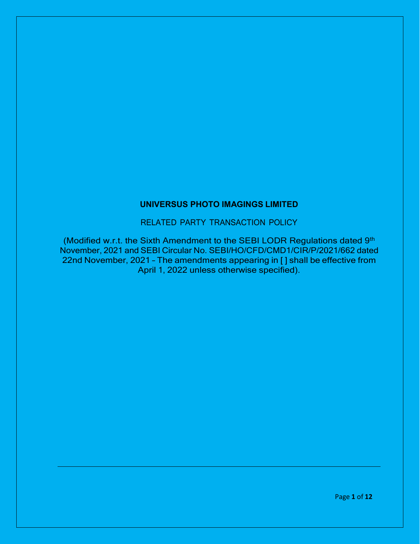### **UNIVERSUS PHOTO IMAGINGS LIMITED**

RELATED PARTY TRANSACTION POLICY

(Modified w.r.t. the Sixth Amendment to the SEBI LODR Regulations dated 9th November, 2021 and SEBI Circular No. SEBI/HO/CFD/CMD1/CIR/P/2021/662 dated 22nd November, 2021 – The amendments appearing in [ ] shall be effective from April 1, 2022 unless otherwise specified).

Page **1** of **12**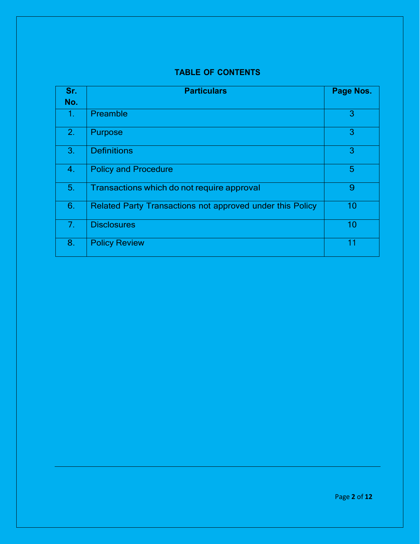# **TABLE OF CONTENTS**

| Sr.            | <b>Particulars</b>                                        | Page Nos. |
|----------------|-----------------------------------------------------------|-----------|
| No.            |                                                           |           |
| 1.             | Preamble                                                  | 3         |
| 2.             | Purpose                                                   | 3         |
| 3.             | <b>Definitions</b>                                        | 3         |
| 4.             | <b>Policy and Procedure</b>                               | 5         |
| 5.             | Transactions which do not require approval                | 9         |
| 6.             | Related Party Transactions not approved under this Policy | 10        |
| 7 <sub>1</sub> | <b>Disclosures</b>                                        | 10        |
| 8.             | <b>Policy Review</b>                                      | 11        |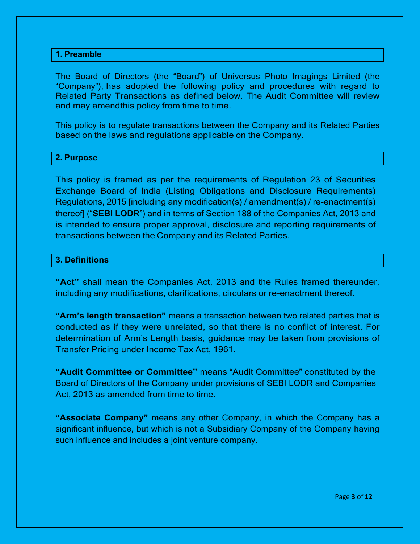#### **1. Preamble**

The Board of Directors (the "Board") of Universus Photo Imagings Limited (the "Company"), has adopted the following policy and procedures with regard to Related Party Transactions as defined below. The Audit Committee will review and may amendthis policy from time to time.

This policy is to regulate transactions between the Company and its Related Parties based on the laws and regulations applicable on the Company.

#### **2. Purpose**

This policy is framed as per the requirements of Regulation 23 of Securities Exchange Board of India (Listing Obligations and Disclosure Requirements) Regulations, 2015 [including any modification(s) / amendment(s) / re-enactment(s) thereof] ("**SEBI LODR**") and in terms of Section 188 of the Companies Act, 2013 and is intended to ensure proper approval, disclosure and reporting requirements of transactions between the Company and its Related Parties.

#### **3. Definitions**

**"Act"** shall mean the Companies Act, 2013 and the Rules framed thereunder, including any modifications, clarifications, circulars or re-enactment thereof.

**"Arm's length transaction"** means a transaction between two related parties that is conducted as if they were unrelated, so that there is no conflict of interest. For determination of Arm's Length basis, guidance may be taken from provisions of Transfer Pricing under Income Tax Act, 1961.

**"Audit Committee or Committee"** means "Audit Committee" constituted by the Board of Directors of the Company under provisions of SEBI LODR and Companies Act, 2013 as amended from time to time.

**"Associate Company"** means any other Company, in which the Company has a significant influence, but which is not a Subsidiary Company of the Company having such influence and includes a joint venture company.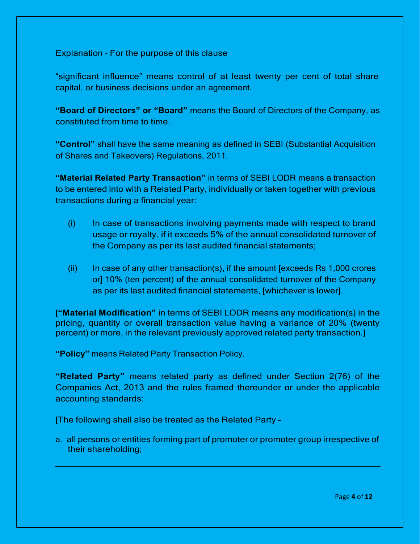Explanation – For the purpose of this clause

"significant influence" means control of at least twenty per cent of total share capital, or business decisions under an agreement.

**"Board of Directors" or "Board"** means the Board of Directors of the Company, as constituted from time to time.

**"Control"** shall have the same meaning as defined in SEBI (Substantial Acquisition of Shares and Takeovers) Regulations, 2011.

**"Material Related Party Transaction"** in terms of SEBI LODR means a transaction to be entered into with a Related Party, individually or taken together with previous transactions during a financial year:

- (i) In case of transactions involving payments made with respect to brand usage or royalty, if it exceeds 5% of the annual consolidated turnover of the Company as per its last audited financial statements;
- (ii) In case of any other transaction(s), if the amount [exceeds Rs 1,000 crores or] 10% (ten percent) of the annual consolidated turnover of the Company as per its last audited financial statements, [whichever is lower].

[**"Material Modification"** in terms of SEBI LODR means any modification(s) in the pricing, quantity or overall transaction value having a variance of 20% (twenty percent) or more, in the relevant previously approved related party transaction.]

**"Policy"** means Related Party Transaction Policy.

**"Related Party"** means related party as defined under Section 2(76) of the Companies Act, 2013 and the rules framed thereunder or under the applicable accounting standards:

[The following shall also be treated as the Related Party –

a. all persons or entities forming part of promoter or promoter group irrespective of their shareholding;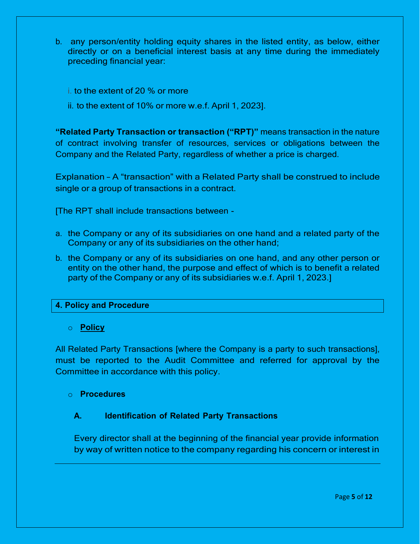- b. any person/entity holding equity shares in the listed entity, as below, either directly or on a beneficial interest basis at any time during the immediately preceding financial year:
	- i. to the extent of 20 % or more
	- ii. to the extent of 10% or more w.e.f. April 1, 2023].

**"Related Party Transaction or transaction ("RPT)"** means transaction in the nature of contract involving transfer of resources, services or obligations between the Company and the Related Party, regardless of whether a price is charged.

Explanation – A "transaction" with a Related Party shall be construed to include single or a group of transactions in a contract.

[The RPT shall include transactions between -

- a. the Company or any of its subsidiaries on one hand and a related party of the Company or any of its subsidiaries on the other hand;
- b. the Company or any of its subsidiaries on one hand, and any other person or entity on the other hand, the purpose and effect of which is to benefit a related party of the Company or any of its subsidiaries w.e.f. April 1, 2023.]

# **4. Policy and Procedure**

# o **Policy**

All Related Party Transactions [where the Company is a party to such transactions], must be reported to the Audit Committee and referred for approval by the Committee in accordance with this policy.

# o **Procedures**

# **A. Identification of Related Party Transactions**

Every director shall at the beginning of the financial year provide information by way of written notice to the company regarding his concern or interest in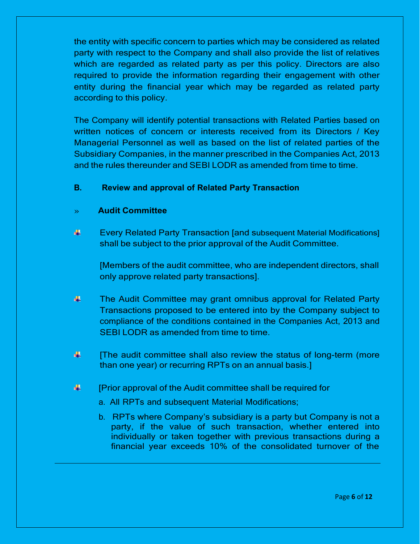the entity with specific concern to parties which may be considered as related party with respect to the Company and shall also provide the list of relatives which are regarded as related party as per this policy. Directors are also required to provide the information regarding their engagement with other entity during the financial year which may be regarded as related party according to this policy.

The Company will identify potential transactions with Related Parties based on written notices of concern or interests received from its Directors / Key Managerial Personnel as well as based on the list of related parties of the Subsidiary Companies, in the manner prescribed in the Companies Act, 2013 and the rules thereunder and SEBI LODR as amended from time to time.

# **B. Review and approval of Related Party Transaction**

# » **Audit Committee**

⊕. Every Related Party Transaction [and subsequent Material Modifications] shall be subject to the prior approval of the Audit Committee.

[Members of the audit committee, who are independent directors, shall only approve related party transactions].

- 畫。 The Audit Committee may grant omnibus approval for Related Party Transactions proposed to be entered into by the Company subject to compliance of the conditions contained in the Companies Act, 2013 and SEBI LODR as amended from time to time.
- 辈. [The audit committee shall also review the status of long-term (more than one year) or recurring RPTs on an annual basis.]
- 辈. [Prior approval of the Audit committee shall be required for
	- a. All RPTs and subsequent Material Modifications;
	- b. RPTs where Company's subsidiary is a party but Company is not a party, if the value of such transaction, whether entered into individually or taken together with previous transactions during a financial year exceeds 10% of the consolidated turnover of the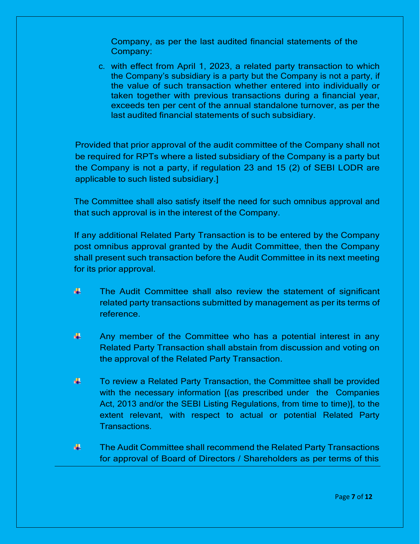Company, as per the last audited financial statements of the Company:

c. with effect from April 1, 2023, a related party transaction to which the Company's subsidiary is a party but the Company is not a party, if the value of such transaction whether entered into individually or taken together with previous transactions during a financial year, exceeds ten per cent of the annual standalone turnover, as per the last audited financial statements of such subsidiary.

Provided that prior approval of the audit committee of the Company shall not be required for RPTs where a listed subsidiary of the Company is a party but the Company is not a party, if regulation 23 and 15 (2) of SEBI LODR are applicable to such listed subsidiary.]

The Committee shall also satisfy itself the need for such omnibus approval and that such approval is in the interest of the Company.

If any additional Related Party Transaction is to be entered by the Company post omnibus approval granted by the Audit Committee, then the Company shall present such transaction before the Audit Committee in its next meeting for its prior approval.

- 盡。 The Audit Committee shall also review the statement of significant related party transactions submitted by management as per its terms of reference.
- 辈 Any member of the Committee who has a potential interest in any Related Party Transaction shall abstain from discussion and voting on the approval of the Related Party Transaction.
- 辈. To review a Related Party Transaction, the Committee shall be provided with the necessary information [(as prescribed under the Companies Act, 2013 and/or the SEBI Listing Regulations, from time to time)], to the extent relevant, with respect to actual or potential Related Party Transactions.
- 41 The Audit Committee shall recommend the Related Party Transactions for approval of Board of Directors / Shareholders as per terms of this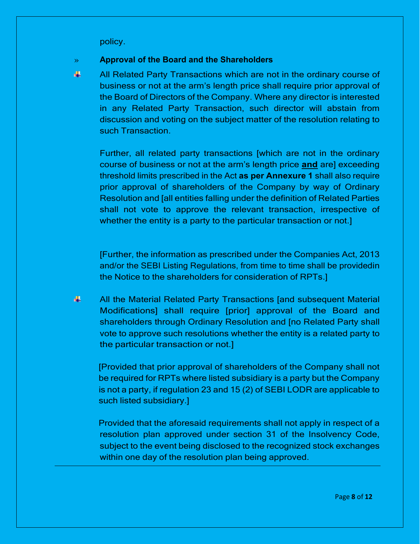policy.

#### » **Approval of the Board and the Shareholders**

襅 All Related Party Transactions which are not in the ordinary course of business or not at the arm's length price shall require prior approval of the Board of Directors of the Company. Where any director is interested in any Related Party Transaction, such director will abstain from discussion and voting on the subject matter of the resolution relating to such Transaction.

Further, all related party transactions [which are not in the ordinary course of business or not at the arm's length price **and** are] exceeding threshold limits prescribed in the Act **as per Annexure 1** shall also require prior approval of shareholders of the Company by way of Ordinary Resolution and [all entities falling under the definition of Related Parties shall not vote to approve the relevant transaction, irrespective of whether the entity is a party to the particular transaction or not.

[Further, the information as prescribed under the Companies Act, 2013 and/or the SEBI Listing Regulations, from time to time shall be providedin the Notice to the shareholders for consideration of RPTs.]

41 All the Material Related Party Transactions [and subsequent Material Modifications] shall require [prior] approval of the Board and shareholders through Ordinary Resolution and [no Related Party shall vote to approve such resolutions whether the entity is a related party to the particular transaction or not.]

[Provided that prior approval of shareholders of the Company shall not be required for RPTs where listed subsidiary is a party but the Company is not a party, if regulation 23 and 15 (2) of SEBI LODR are applicable to such listed subsidiary.]

Provided that the aforesaid requirements shall not apply in respect of a resolution plan approved under section 31 of the Insolvency Code, subject to the event being disclosed to the recognized stock exchanges within one day of the resolution plan being approved.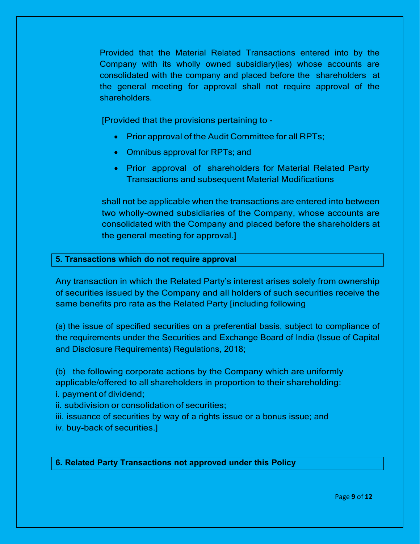Provided that the Material Related Transactions entered into by the Company with its wholly owned subsidiary(ies) whose accounts are consolidated with the company and placed before the shareholders at the general meeting for approval shall not require approval of the shareholders.

[Provided that the provisions pertaining to -

- Prior approval of the Audit Committee for all RPTs;
- Omnibus approval for RPTs; and
- Prior approval of shareholders for Material Related Party Transactions and subsequent Material Modifications

shall not be applicable when the transactions are entered into between two wholly-owned subsidiaries of the Company, whose accounts are consolidated with the Company and placed before the shareholders at the general meeting for approval.]

### **5. Transactions which do not require approval**

Any transaction in which the Related Party's interest arises solely from ownership of securities issued by the Company and all holders of such securities receive the same benefits pro rata as the Related Party [including following

(a) the issue of specified securities on a preferential basis, subject to compliance of the requirements under the Securities and Exchange Board of India (Issue of Capital and Disclosure Requirements) Regulations, 2018;

(b) the following corporate actions by the Company which are uniformly applicable/offered to all shareholders in proportion to their shareholding:

i. payment of dividend;

ii. subdivision or consolidation of securities;

iii. issuance of securities by way of a rights issue or a bonus issue; and

iv. buy-back of securities.]

**6. Related Party Transactions not approved under this Policy**

Page **9** of **12**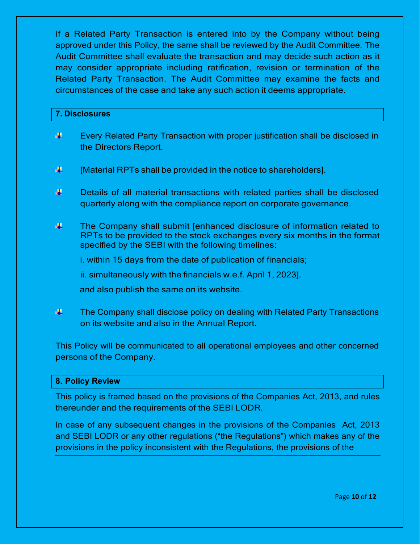If a Related Party Transaction is entered into by the Company without being approved under this Policy, the same shall be reviewed by the Audit Committee. The Audit Committee shall evaluate the transaction and may decide such action as it may consider appropriate including ratification, revision or termination of the Related Party Transaction. The Audit Committee may examine the facts and circumstances of the case and take any such action it deems appropriate.

#### **7. Disclosures**

- 4 Every Related Party Transaction with proper justification shall be disclosed in the Directors Report.
- 4 [Material RPTs shall be provided in the notice to shareholders].
- 4 Details of all material transactions with related parties shall be disclosed quarterly along with the compliance report on corporate governance.
- 4. The Company shall submit [enhanced disclosure of information related to RPTs to be provided to the stock exchanges every six months in the format specified by the SEBI with the following timelines:

i. within 15 days from the date of publication of financials;

ii. simultaneously with the financials w.e.f. April 1, 2023].

and also publish the same on its website.

4 The Company shall disclose policy on dealing with Related Party Transactions on its website and also in the Annual Report.

This Policy will be communicated to all operational employees and other concerned persons of the Company.

#### **8. Policy Review**

This policy is framed based on the provisions of the Companies Act, 2013, and rules thereunder and the requirements of the SEBI LODR.

In case of any subsequent changes in the provisions of the Companies Act, 2013 and SEBI LODR or any other regulations ("the Regulations") which makes any of the provisions in the policy inconsistent with the Regulations, the provisions of the

Page **10** of **12**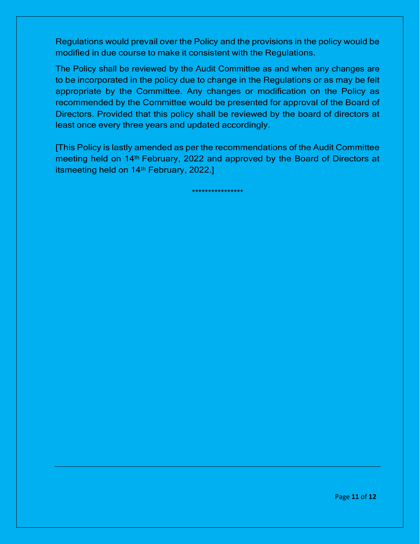Regulations would prevail over the Policy and the provisions in the policy would be modified in due course to make it consistent with the Regulations.

The Policy shall be reviewed by the Audit Committee as and when any changes are to be incorporated in the policy due to change in the Regulations or as may be felt appropriate by the Committee. Any changes or modification on the Policy as recommended by the Committee would be presented for approval of the Board of Directors. Provided that this policy shall be reviewed by the board of directors at least once every three years and updated accordingly.

[This Policy is lastly amended as per the recommendations of the Audit Committee meeting held on 14<sup>th</sup> February, 2022 and approved by the Board of Directors at itsmeeting held on 14<sup>th</sup> February, 2022.]

\*\*\*\*\*\*\*\*\*\*\*\*\*\*\*\*